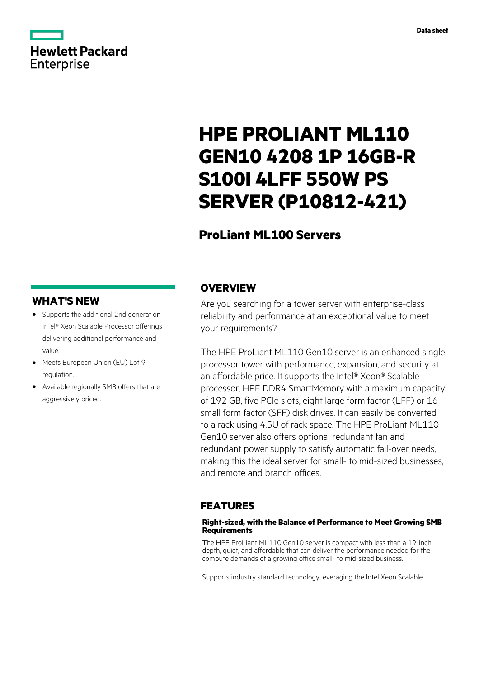# **Hewlett Packard** Enterprise

# **HPE PROLIANT ML110 GEN10 4208 1P 16GB-R S100I 4LFF 550W PS SERVER (P10812-421)**

# **ProLiant ML100 Servers**

### **WHAT'S NEW**

- **·** Supports the additional 2nd generation Intel® Xeon Scalable Processor offerings delivering additional performance and value.
- **·** Meets European Union (EU) Lot 9 regulation.
- **·** Available regionally SMB offers that are aggressively priced.

### **OVERVIEW**

Are you searching for a tower server with enterprise-class reliability and performance at an exceptional value to meet your requirements?

The HPE ProLiant ML110 Gen10 server is an enhanced single processor tower with performance, expansion, and security at an affordable price. It supports the Intel® Xeon® Scalable processor, HPE DDR4 SmartMemory with a maximum capacity of 192 GB, five PCIe slots, eight large form factor (LFF) or 16 small form factor (SFF) disk drives. It can easily be converted to a rack using 4.5U of rack space. The HPE ProLiant ML110 Gen10 server also offers optional redundant fan and redundant power supply to satisfy automatic fail-over needs, making this the ideal server for small- to mid-sized businesses, and remote and branch offices.

### **FEATURES**

#### **Right-sized, with the Balance of Performance to Meet Growing SMB Requirements**

The HPE ProLiant ML110 Gen10 server is compact with less than a 19-inch depth, quiet, and affordable that can deliver the performance needed for the compute demands of a growing office small- to mid-sized business.

Supports industry standard technology leveraging the Intel Xeon Scalable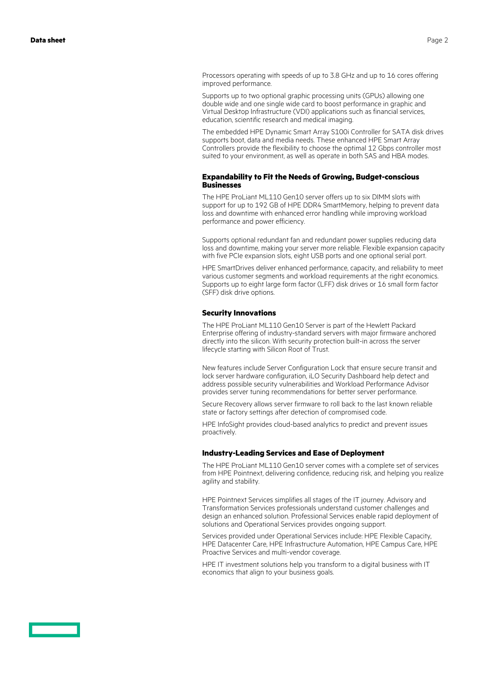Processors operating with speeds of up to 3.8 GHz and up to 16 cores offering improved performance.

Supports up to two optional graphic processing units (GPUs) allowing one double wide and one single wide card to boost performance in graphic and Virtual Desktop Infrastructure (VDI) applications such as financial services, education, scientific research and medical imaging.

The embedded HPE Dynamic Smart Array S100i Controller for SATA disk drives supports boot, data and media needs. These enhanced HPE Smart Array Controllers provide the flexibility to choose the optimal 12 Gbps controller most suited to your environment, as well as operate in both SAS and HBA modes.

#### **Expandability to Fit the Needs of Growing, Budget-conscious Businesses**

The HPE ProLiant ML110 Gen10 server offers up to six DIMM slots with support for up to 192 GB of HPE DDR4 SmartMemory, helping to prevent data loss and downtime with enhanced error handling while improving workload performance and power efficiency.

Supports optional redundant fan and redundant power supplies reducing data loss and downtime, making your server more reliable. Flexible expansion capacity with five PCIe expansion slots, eight USB ports and one optional serial port.

HPE SmartDrives deliver enhanced performance, capacity, and reliability to meet various customer segments and workload requirements at the right economics. Supports up to eight large form factor (LFF) disk drives or 16 small form factor (SFF) disk drive options.

#### **Security Innovations**

The HPE ProLiant ML110 Gen10 Server is part of the Hewlett Packard Enterprise offering of industry-standard servers with major firmware anchored directly into the silicon. With security protection built-in across the server lifecycle starting with Silicon Root of Trust.

New features include Server Configuration Lock that ensure secure transit and lock server hardware configuration, iLO Security Dashboard help detect and address possible security vulnerabilities and Workload Performance Advisor provides server tuning recommendations for better server performance.

Secure Recovery allows server firmware to roll back to the last known reliable state or factory settings after detection of compromised code.

HPE InfoSight provides cloud-based analytics to predict and prevent issues proactively.

#### **Industry-Leading Services and Ease of Deployment**

The HPE ProLiant ML110 Gen10 server comes with a complete set of services from HPE Pointnext, delivering confidence, reducing risk, and helping you realize agility and stability.

HPE Pointnext Services simplifies all stages of the IT journey. Advisory and Transformation Services professionals understand customer challenges and design an enhanced solution. Professional Services enable rapid deployment of solutions and Operational Services provides ongoing support.

Services provided under Operational Services include: HPE Flexible Capacity, HPE Datacenter Care, HPE Infrastructure Automation, HPE Campus Care, HPE Proactive Services and multi-vendor coverage.

HPE IT investment solutions help you transform to a digital business with IT economics that align to your business goals.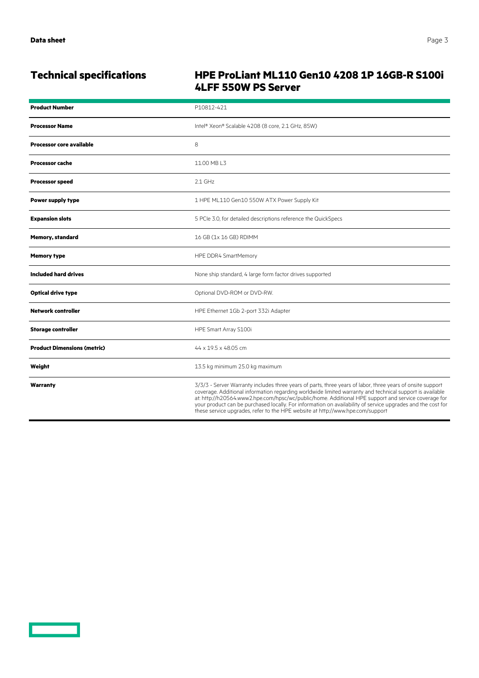<u>a sa sa</u>

## **Technical specifications HPE ProLiant ML110 Gen10 4208 1P 16GB-R S100i 4LFF 550W PS Server**

| <b>Product Number</b>              | P10812-421                                                                                                                                                                                                                                                                                                                                                                                                                                                                                                                     |
|------------------------------------|--------------------------------------------------------------------------------------------------------------------------------------------------------------------------------------------------------------------------------------------------------------------------------------------------------------------------------------------------------------------------------------------------------------------------------------------------------------------------------------------------------------------------------|
| <b>Processor Name</b>              | Intel® Xeon® Scalable 4208 (8 core, 2.1 GHz, 85W)                                                                                                                                                                                                                                                                                                                                                                                                                                                                              |
| <b>Processor core available</b>    | 8                                                                                                                                                                                                                                                                                                                                                                                                                                                                                                                              |
| <b>Processor cache</b>             | 11.00 MB L3                                                                                                                                                                                                                                                                                                                                                                                                                                                                                                                    |
| <b>Processor speed</b>             | $2.1$ GHz                                                                                                                                                                                                                                                                                                                                                                                                                                                                                                                      |
| <b>Power supply type</b>           | 1 HPE ML110 Gen10 550W ATX Power Supply Kit                                                                                                                                                                                                                                                                                                                                                                                                                                                                                    |
| <b>Expansion slots</b>             | 5 PCIe 3.0, for detailed descriptions reference the QuickSpecs                                                                                                                                                                                                                                                                                                                                                                                                                                                                 |
| <b>Memory, standard</b>            | 16 GB (1x 16 GB) RDIMM                                                                                                                                                                                                                                                                                                                                                                                                                                                                                                         |
| <b>Memory type</b>                 | HPE DDR4 SmartMemory                                                                                                                                                                                                                                                                                                                                                                                                                                                                                                           |
| <b>Included hard drives</b>        | None ship standard, 4 large form factor drives supported                                                                                                                                                                                                                                                                                                                                                                                                                                                                       |
| <b>Optical drive type</b>          | Optional DVD-ROM or DVD-RW.                                                                                                                                                                                                                                                                                                                                                                                                                                                                                                    |
| Network controller                 | HPE Ethernet 1Gb 2-port 332i Adapter                                                                                                                                                                                                                                                                                                                                                                                                                                                                                           |
| <b>Storage controller</b>          | HPE Smart Array S100i                                                                                                                                                                                                                                                                                                                                                                                                                                                                                                          |
| <b>Product Dimensions (metric)</b> | 44 x 19.5 x 48.05 cm                                                                                                                                                                                                                                                                                                                                                                                                                                                                                                           |
| Weight                             | 13.5 kg minimum 25.0 kg maximum                                                                                                                                                                                                                                                                                                                                                                                                                                                                                                |
| Warranty                           | 3/3/3 - Server Warranty includes three years of parts, three years of labor, three years of onsite support<br>coverage. Additional information regarding worldwide limited warranty and technical support is available<br>at: http://h20564.www2.hpe.com/hpsc/wc/public/home. Additional HPE support and service coverage for<br>your product can be purchased locally. For information on availability of service upgrades and the cost for<br>these service upgrades, refer to the HPE website at http://www.hpe.com/support |